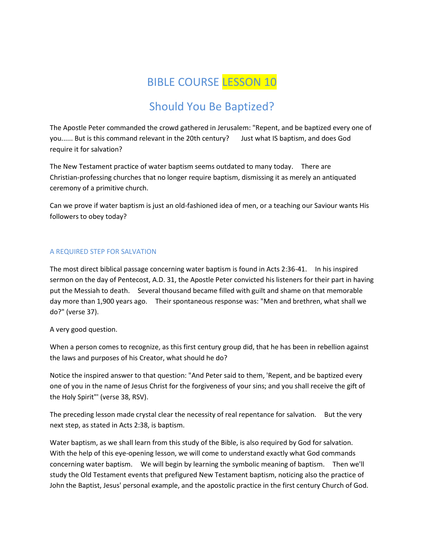# BIBLE COURSE LESSON 10

## Should You Be Baptized?

The Apostle Peter commanded the crowd gathered in Jerusalem: "Repent, and be baptized every one of you...... But is this command relevant in the 20th century? Just what IS baptism, and does God require it for salvation?

The New Testament practice of water baptism seems outdated to many today. There are Christian-professing churches that no longer require baptism, dismissing it as merely an antiquated ceremony of a primitive church.

Can we prove if water baptism is just an old-fashioned idea of men, or a teaching our Saviour wants His followers to obey today?

#### A REQUIRED STEP FOR SALVATION

The most direct biblical passage concerning water baptism is found in Acts 2:36-41. In his inspired sermon on the day of Pentecost, A.D. 31, the Apostle Peter convicted his listeners for their part in having put the Messiah to death. Several thousand became filled with guilt and shame on that memorable day more than 1,900 years ago. Their spontaneous response was: "Men and brethren, what shall we do?" (verse 37).

#### A very good question.

When a person comes to recognize, as this first century group did, that he has been in rebellion against the laws and purposes of his Creator, what should he do?

Notice the inspired answer to that question: "And Peter said to them, 'Repent, and be baptized every one of you in the name of Jesus Christ for the forgiveness of your sins; and you shall receive the gift of the Holy Spirit"' (verse 38, RSV).

The preceding lesson made crystal clear the necessity of real repentance for salvation. But the very next step, as stated in Acts 2:38, is baptism.

Water baptism, as we shall learn from this study of the Bible, is also required by God for salvation. With the help of this eye-opening lesson, we will come to understand exactly what God commands concerning water baptism. We will begin by learning the symbolic meaning of baptism. Then we'll study the Old Testament events that prefigured New Testament baptism, noticing also the practice of John the Baptist, Jesus' personal example, and the apostolic practice in the first century Church of God.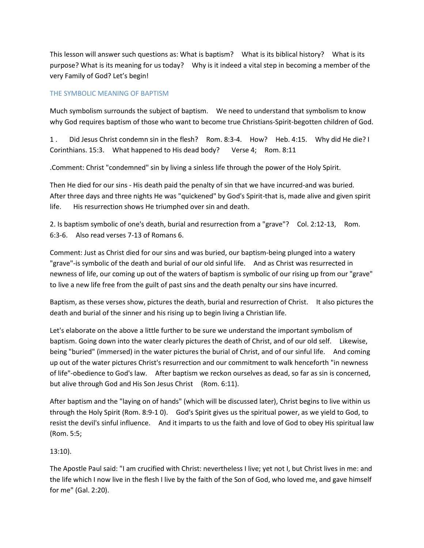This lesson will answer such questions as: What is baptism? What is its biblical history? What is its purpose? What is its meaning for us today? Why is it indeed a vital step in becoming a member of the very Family of God? Let's begin!

## THE SYMBOLIC MEANING OF BAPTISM

Much symbolism surrounds the subject of baptism. We need to understand that symbolism to know why God requires baptism of those who want to become true Christians-Spirit-begotten children of God.

1 . Did Jesus Christ condemn sin in the flesh? Rom. 8:3-4. How? Heb. 4:15. Why did He die? I Corinthians. 15:3. What happened to His dead body? Verse 4; Rom. 8:11

.Comment: Christ "condemned" sin by living a sinless life through the power of the Holy Spirit.

Then He died for our sins - His death paid the penalty of sin that we have incurred-and was buried. After three days and three nights He was "quickened" by God's Spirit-that is, made alive and given spirit life. His resurrection shows He triumphed over sin and death.

2. Is baptism symbolic of one's death, burial and resurrection from a "grave"? Col. 2:12-13, Rom. 6:3-6. Also read verses 7-13 of Romans 6.

Comment: Just as Christ died for our sins and was buried, our baptism-being plunged into a watery "grave"-is symbolic of the death and burial of our old sinful life. And as Christ was resurrected in newness of life, our coming up out of the waters of baptism is symbolic of our rising up from our "grave" to live a new life free from the guilt of past sins and the death penalty our sins have incurred.

Baptism, as these verses show, pictures the death, burial and resurrection of Christ. It also pictures the death and burial of the sinner and his rising up to begin living a Christian life.

Let's elaborate on the above a little further to be sure we understand the important symbolism of baptism. Going down into the water clearly pictures the death of Christ, and of our old self. Likewise, being "buried" (immersed) in the water pictures the burial of Christ, and of our sinful life. And coming up out of the water pictures Christ's resurrection and our commitment to walk henceforth "in newness of life"-obedience to God's law. After baptism we reckon ourselves as dead, so far as sin is concerned, but alive through God and His Son Jesus Christ (Rom. 6:11).

After baptism and the "laying on of hands" (which will be discussed later), Christ begins to live within us through the Holy Spirit (Rom. 8:9-1 0). God's Spirit gives us the spiritual power, as we yield to God, to resist the devil's sinful influence. And it imparts to us the faith and love of God to obey His spiritual law (Rom. 5:5;

## 13:10).

The Apostle Paul said: "I am crucified with Christ: nevertheless I live; yet not I, but Christ lives in me: and the life which I now live in the flesh I live by the faith of the Son of God, who loved me, and gave himself for me" (Gal. 2:20).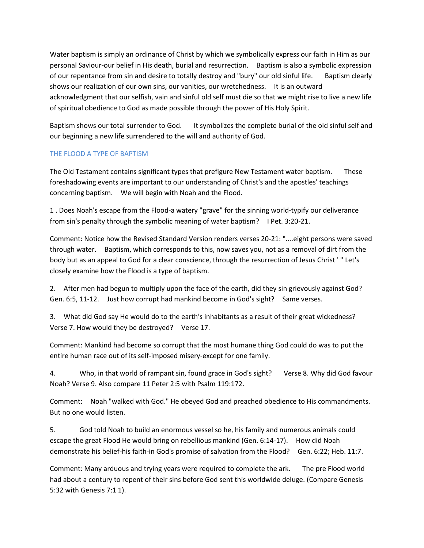Water baptism is simply an ordinance of Christ by which we symbolically express our faith in Him as our personal Saviour-our belief in His death, burial and resurrection. Baptism is also a symbolic expression of our repentance from sin and desire to totally destroy and "bury" our old sinful life. Baptism clearly shows our realization of our own sins, our vanities, our wretchedness. It is an outward acknowledgment that our selfish, vain and sinful old self must die so that we might rise to live a new life of spiritual obedience to God as made possible through the power of His Holy Spirit.

Baptism shows our total surrender to God. It symbolizes the complete burial of the old sinful self and our beginning a new life surrendered to the will and authority of God.

## THE FLOOD A TYPE OF BAPTISM

The Old Testament contains significant types that prefigure New Testament water baptism. These foreshadowing events are important to our understanding of Christ's and the apostles' teachings concerning baptism. We will begin with Noah and the Flood.

1 . Does Noah's escape from the Flood-a watery "grave" for the sinning world-typify our deliverance from sin's penalty through the symbolic meaning of water baptism? I Pet. 3:20-21.

Comment: Notice how the Revised Standard Version renders verses 20-21: "....eight persons were saved through water. Baptism, which corresponds to this, now saves you, not as a removal of dirt from the body but as an appeal to God for a clear conscience, through the resurrection of Jesus Christ ' " Let's closely examine how the Flood is a type of baptism.

2. After men had begun to multiply upon the face of the earth, did they sin grievously against God? Gen. 6:5, 11-12. Just how corrupt had mankind become in God's sight? Same verses.

3. What did God say He would do to the earth's inhabitants as a result of their great wickedness? Verse 7. How would they be destroyed? Verse 17.

Comment: Mankind had become so corrupt that the most humane thing God could do was to put the entire human race out of its self-imposed misery-except for one family.

4. Who, in that world of rampant sin, found grace in God's sight? Verse 8. Why did God favour Noah? Verse 9. Also compare 11 Peter 2:5 with Psalm 119:172.

Comment: Noah "walked with God." He obeyed God and preached obedience to His commandments. But no one would listen.

5. God told Noah to build an enormous vessel so he, his family and numerous animals could escape the great Flood He would bring on rebellious mankind (Gen. 6:14-17). How did Noah demonstrate his belief-his faith-in God's promise of salvation from the Flood? Gen. 6:22; Heb. 11:7.

Comment: Many arduous and trying years were required to complete the ark. The pre Flood world had about a century to repent of their sins before God sent this worldwide deluge. (Compare Genesis 5:32 with Genesis 7:1 1).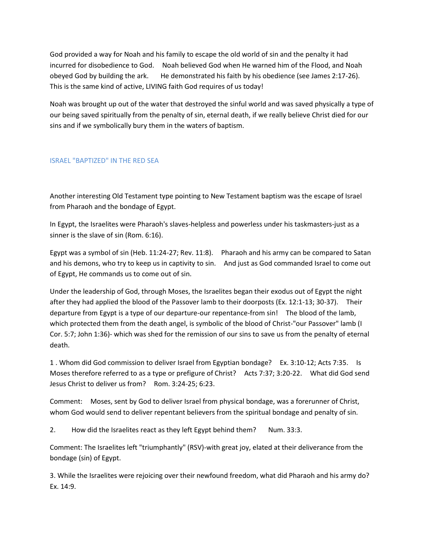God provided a way for Noah and his family to escape the old world of sin and the penalty it had incurred for disobedience to God. Noah believed God when He warned him of the Flood, and Noah obeyed God by building the ark. He demonstrated his faith by his obedience (see James 2:17-26). This is the same kind of active, LIVING faith God requires of us today!

Noah was brought up out of the water that destroyed the sinful world and was saved physically a type of our being saved spiritually from the penalty of sin, eternal death, if we really believe Christ died for our sins and if we symbolically bury them in the waters of baptism.

#### ISRAEL "BAPTIZED" IN THE RED SEA

Another interesting Old Testament type pointing to New Testament baptism was the escape of Israel from Pharaoh and the bondage of Egypt.

In Egypt, the Israelites were Pharaoh's slaves-helpless and powerless under his taskmasters-just as a sinner is the slave of sin (Rom. 6:16).

Egypt was a symbol of sin (Heb. 11:24-27; Rev. 11:8). Pharaoh and his army can be compared to Satan and his demons, who try to keep us in captivity to sin. And just as God commanded Israel to come out of Egypt, He commands us to come out of sin.

Under the leadership of God, through Moses, the Israelites began their exodus out of Egypt the night after they had applied the blood of the Passover lamb to their doorposts (Ex. 12:1-13; 30-37). Their departure from Egypt is a type of our departure-our repentance-from sin! The blood of the lamb, which protected them from the death angel, is symbolic of the blood of Christ-"our Passover" lamb (I Cor. 5:7; John 1:36)- which was shed for the remission of our sins to save us from the penalty of eternal death.

1 . Whom did God commission to deliver Israel from Egyptian bondage? Ex. 3:10-12; Acts 7:35. Is Moses therefore referred to as a type or prefigure of Christ? Acts 7:37; 3:20-22. What did God send Jesus Christ to deliver us from? Rom. 3:24-25; 6:23.

Comment: Moses, sent by God to deliver Israel from physical bondage, was a forerunner of Christ, whom God would send to deliver repentant believers from the spiritual bondage and penalty of sin.

2. How did the Israelites react as they left Egypt behind them? Num. 33:3.

Comment: The Israelites left "triumphantly" (RSV)-with great joy, elated at their deliverance from the bondage (sin) of Egypt.

3. While the Israelites were rejoicing over their newfound freedom, what did Pharaoh and his army do? Ex. 14:9.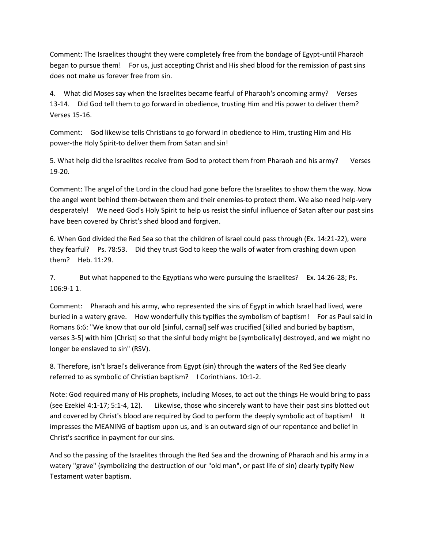Comment: The Israelites thought they were completely free from the bondage of Egypt-until Pharaoh began to pursue them! For us, just accepting Christ and His shed blood for the remission of past sins does not make us forever free from sin.

4. What did Moses say when the Israelites became fearful of Pharaoh's oncoming army? Verses 13-14. Did God tell them to go forward in obedience, trusting Him and His power to deliver them? Verses 15-16.

Comment: God likewise tells Christians to go forward in obedience to Him, trusting Him and His power-the Holy Spirit-to deliver them from Satan and sin!

5. What help did the Israelites receive from God to protect them from Pharaoh and his army? Verses 19-20.

Comment: The angel of the Lord in the cloud had gone before the Israelites to show them the way. Now the angel went behind them-between them and their enemies-to protect them. We also need help-very desperately! We need God's Holy Spirit to help us resist the sinful influence of Satan after our past sins have been covered by Christ's shed blood and forgiven.

6. When God divided the Red Sea so that the children of Israel could pass through (Ex. 14:21-22), were they fearful? Ps. 78:53. Did they trust God to keep the walls of water from crashing down upon them? Heb. 11:29.

7. But what happened to the Egyptians who were pursuing the Israelites? Ex. 14:26-28; Ps. 106:9-1 1.

Comment: Pharaoh and his army, who represented the sins of Egypt in which Israel had lived, were buried in a watery grave. How wonderfully this typifies the symbolism of baptism! For as Paul said in Romans 6:6: "We know that our old [sinful, carnal] self was crucified [killed and buried by baptism, verses 3-5] with him [Christ] so that the sinful body might be [symbolically] destroyed, and we might no longer be enslaved to sin" (RSV).

8. Therefore, isn't lsrael's deliverance from Egypt (sin) through the waters of the Red See clearly referred to as symbolic of Christian baptism? I Corinthians. 10:1-2.

Note: God required many of His prophets, including Moses, to act out the things He would bring to pass (see Ezekiel 4:1-17; 5:1-4, 12). Likewise, those who sincerely want to have their past sins blotted out and covered by Christ's blood are required by God to perform the deeply symbolic act of baptism! It impresses the MEANING of baptism upon us, and is an outward sign of our repentance and belief in Christ's sacrifice in payment for our sins.

And so the passing of the Israelites through the Red Sea and the drowning of Pharaoh and his army in a watery "grave" (symbolizing the destruction of our "old man", or past life of sin) clearly typify New Testament water baptism.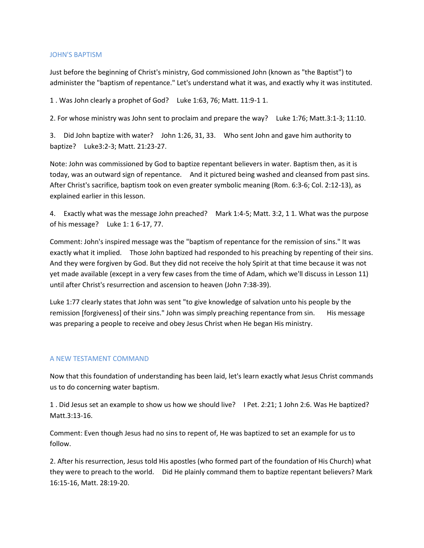#### JOHN'S BAPTISM

Just before the beginning of Christ's ministry, God commissioned John (known as "the Baptist") to administer the "baptism of repentance." Let's understand what it was, and exactly why it was instituted.

1 . Was John clearly a prophet of God? Luke 1:63, 76; Matt. 11:9-1 1.

2. For whose ministry was John sent to proclaim and prepare the way? Luke 1:76; Matt.3:1-3; 11:10.

3. Did John baptize with water? John 1:26, 31, 33. Who sent John and gave him authority to baptize? Luke3:2-3; Matt. 21:23-27.

Note: John was commissioned by God to baptize repentant believers in water. Baptism then, as it is today, was an outward sign of repentance. And it pictured being washed and cleansed from past sins. After Christ's sacrifice, baptism took on even greater symbolic meaning (Rom. 6:3-6; Col. 2:12-13), as explained earlier in this lesson.

4. Exactly what was the message John preached? Mark 1:4-5; Matt. 3:2, 1 1. What was the purpose of his message? Luke 1: 1 6-17, 77.

Comment: John's inspired message was the "baptism of repentance for the remission of sins." It was exactly what it implied. Those John baptized had responded to his preaching by repenting of their sins. And they were forgiven by God. But they did not receive the holy Spirit at that time because it was not yet made available (except in a very few cases from the time of Adam, which we'll discuss in Lesson 11) until after Christ's resurrection and ascension to heaven (John 7:38-39).

Luke 1:77 clearly states that John was sent "to give knowledge of salvation unto his people by the remission [forgiveness] of their sins." John was simply preaching repentance from sin. His message was preparing a people to receive and obey Jesus Christ when He began His ministry.

#### A NEW TESTAMENT COMMAND

Now that this foundation of understanding has been laid, let's learn exactly what Jesus Christ commands us to do concerning water baptism.

1 . Did Jesus set an example to show us how we should live? I Pet. 2:21; 1 John 2:6. Was He baptized? Matt.3:13-16.

Comment: Even though Jesus had no sins to repent of, He was baptized to set an example for us to follow.

2. After his resurrection, Jesus told His apostles (who formed part of the foundation of His Church) what they were to preach to the world. Did He plainly command them to baptize repentant believers? Mark 16:15-16, Matt. 28:19-20.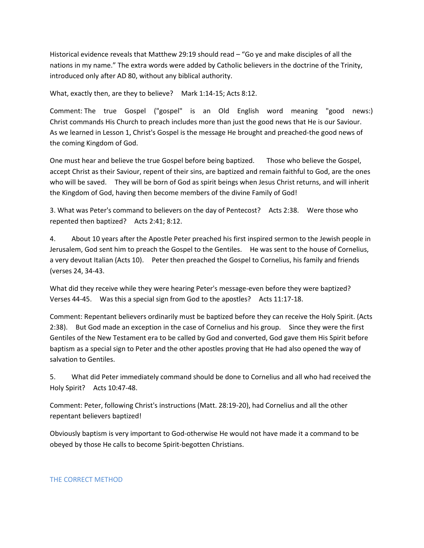Historical evidence reveals that Matthew 29:19 should read – "Go ye and make disciples of all the nations in my name." The extra words were added by Catholic believers in the doctrine of the Trinity, introduced only after AD 80, without any biblical authority.

What, exactly then, are they to believe? Mark 1:14-15; Acts 8:12.

Comment: The true Gospel ("gospel" is an Old English word meaning "good news:) Christ commands His Church to preach includes more than just the good news that He is our Saviour. As we learned in Lesson 1, Christ's Gospel is the message He brought and preached-the good news of the coming Kingdom of God.

One must hear and believe the true Gospel before being baptized. Those who believe the Gospel, accept Christ as their Saviour, repent of their sins, are baptized and remain faithful to God, are the ones who will be saved. They will be born of God as spirit beings when Jesus Christ returns, and will inherit the Kingdom of God, having then become members of the divine Family of God!

3. What was Peter's command to believers on the day of Pentecost? Acts 2:38. Were those who repented then baptized? Acts 2:41; 8:12.

4. About 10 years after the Apostle Peter preached his first inspired sermon to the Jewish people in Jerusalem, God sent him to preach the Gospel to the Gentiles. He was sent to the house of Cornelius, a very devout Italian (Acts 10). Peter then preached the Gospel to Cornelius, his family and friends (verses 24, 34-43.

What did they receive while they were hearing Peter's message-even before they were baptized? Verses 44-45. Was this a special sign from God to the apostles? Acts 11:17-18.

Comment: Repentant believers ordinarily must be baptized before they can receive the Holy Spirit. (Acts 2:38). But God made an exception in the case of Cornelius and his group. Since they were the first Gentiles of the New Testament era to be called by God and converted, God gave them His Spirit before baptism as a special sign to Peter and the other apostles proving that He had also opened the way of salvation to Gentiles.

5. What did Peter immediately command should be done to Cornelius and all who had received the Holy Spirit? Acts 10:47-48.

Comment: Peter, following Christ's instructions (Matt. 28:19-20), had Cornelius and all the other repentant believers baptized!

Obviously baptism is very important to God-otherwise He would not have made it a command to be obeyed by those He calls to become Spirit-begotten Christians.

#### THE CORRECT METHOD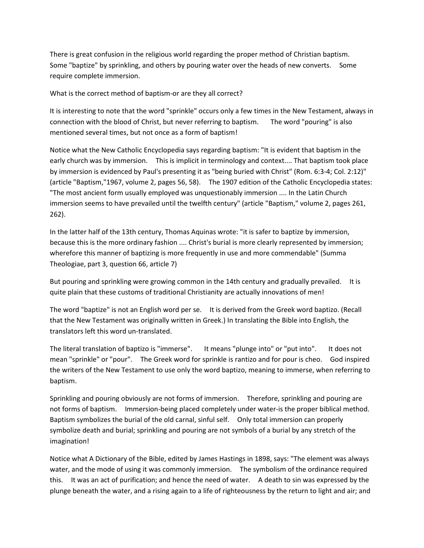There is great confusion in the religious world regarding the proper method of Christian baptism. Some "baptize" by sprinkling, and others by pouring water over the heads of new converts. Some require complete immersion.

What is the correct method of baptism-or are they all correct?

It is interesting to note that the word "sprinkle" occurs only a few times in the New Testament, always in connection with the blood of Christ, but never referring to baptism. The word "pouring" is also mentioned several times, but not once as a form of baptism!

Notice what the New Catholic Encyclopedia says regarding baptism: "It is evident that baptism in the early church was by immersion. This is implicit in terminology and context.... That baptism took place by immersion is evidenced by Paul's presenting it as "being buried with Christ" (Rom. 6:3-4; Col. 2:12)" (article "Baptism,"1967, volume 2, pages 56, 58). The 1907 edition of the Catholic Encyclopedia states: "The most ancient form usually employed was unquestionably immersion .... In the Latin Church immersion seems to have prevailed until the twelfth century" (article "Baptism," volume 2, pages 261, 262).

In the latter half of the 13th century, Thomas Aquinas wrote: "it is safer to baptize by immersion, because this is the more ordinary fashion .... Christ's burial is more clearly represented by immersion; wherefore this manner of baptizing is more frequently in use and more commendable" (Summa Theologiae, part 3, question 66, article 7)

But pouring and sprinkling were growing common in the 14th century and gradually prevailed. It is quite plain that these customs of traditional Christianity are actually innovations of men!

The word "baptize" is not an English word per se. It is derived from the Greek word baptizo. (Recall that the New Testament was originally written in Greek.) In translating the Bible into English, the translators left this word un-translated.

The literal translation of baptizo is "immerse". It means "plunge into" or "put into". It does not mean "sprinkle" or "pour". The Greek word for sprinkle is rantizo and for pour is cheo. God inspired the writers of the New Testament to use only the word baptizo, meaning to immerse, when referring to baptism.

Sprinkling and pouring obviously are not forms of immersion. Therefore, sprinkling and pouring are not forms of baptism. Immersion-being placed completely under water-is the proper biblical method. Baptism symbolizes the burial of the old carnal, sinful self. Only total immersion can properly symbolize death and burial; sprinkling and pouring are not symbols of a burial by any stretch of the imagination!

Notice what A Dictionary of the Bible, edited by James Hastings in 1898, says: "The element was always water, and the mode of using it was commonly immersion. The symbolism of the ordinance required this. It was an act of purification; and hence the need of water. A death to sin was expressed by the plunge beneath the water, and a rising again to a life of righteousness by the return to light and air; and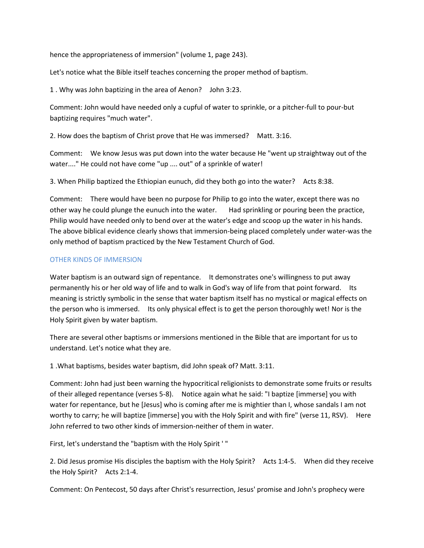hence the appropriateness of immersion" (volume 1, page 243).

Let's notice what the Bible itself teaches concerning the proper method of baptism.

1 . Why was John baptizing in the area of Aenon? John 3:23.

Comment: John would have needed only a cupful of water to sprinkle, or a pitcher-full to pour-but baptizing requires "much water".

2. How does the baptism of Christ prove that He was immersed? Matt. 3:16.

Comment: We know Jesus was put down into the water because He "went up straightway out of the water...." He could not have come "up .... out" of a sprinkle of water!

3. When Philip baptized the Ethiopian eunuch, did they both go into the water? Acts 8:38.

Comment: There would have been no purpose for Philip to go into the water, except there was no other way he could plunge the eunuch into the water. Had sprinkling or pouring been the practice, Philip would have needed only to bend over at the water's edge and scoop up the water in his hands. The above biblical evidence clearly shows that immersion-being placed completely under water-was the only method of baptism practiced by the New Testament Church of God.

## OTHER KINDS OF IMMERSION

Water baptism is an outward sign of repentance. It demonstrates one's willingness to put away permanently his or her old way of life and to walk in God's way of life from that point forward. Its meaning is strictly symbolic in the sense that water baptism itself has no mystical or magical effects on the person who is immersed. Its only physical effect is to get the person thoroughly wet! Nor is the Holy Spirit given by water baptism.

There are several other baptisms or immersions mentioned in the Bible that are important for us to understand. Let's notice what they are.

1 .What baptisms, besides water baptism, did John speak of? Matt. 3:11.

Comment: John had just been warning the hypocritical religionists to demonstrate some fruits or results of their alleged repentance (verses 5-8). Notice again what he said: "I baptize [immerse] you with water for repentance, but he [Jesus] who is coming after me is mightier than I, whose sandals I am not worthy to carry; he will baptize [immerse] you with the Holy Spirit and with fire" (verse 11, RSV). Here John referred to two other kinds of immersion-neither of them in water.

First, let's understand the "baptism with the Holy Spirit ' "

2. Did Jesus promise His disciples the baptism with the Holy Spirit? Acts 1:4-5. When did they receive the Holy Spirit? Acts 2:1-4.

Comment: On Pentecost, 50 days after Christ's resurrection, Jesus' promise and John's prophecy were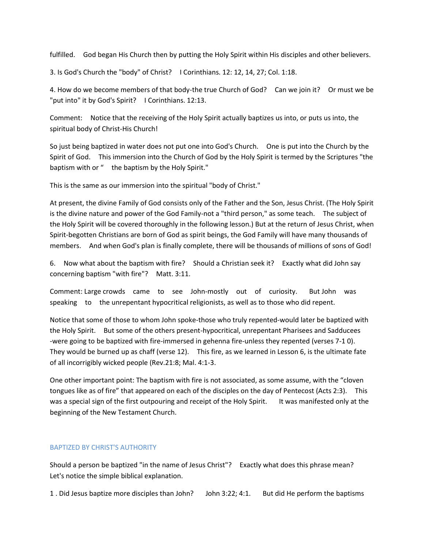fulfilled. God began His Church then by putting the Holy Spirit within His disciples and other believers.

3. Is God's Church the "body" of Christ? I Corinthians. 12: 12, 14, 27; Col. 1:18.

4. How do we become members of that body-the true Church of God? Can we join it? Or must we be "put into" it by God's Spirit? I Corinthians. 12:13.

Comment: Notice that the receiving of the Holy Spirit actually baptizes us into, or puts us into, the spiritual body of Christ-His Church!

So just being baptized in water does not put one into God's Church. One is put into the Church by the Spirit of God. This immersion into the Church of God by the Holy Spirit is termed by the Scriptures "the baptism with or " the baptism by the Holy Spirit."

This is the same as our immersion into the spiritual "body of Christ."

At present, the divine Family of God consists only of the Father and the Son, Jesus Christ. (The Holy Spirit is the divine nature and power of the God Family-not a "third person," as some teach. The subject of the Holy Spirit will be covered thoroughly in the following lesson.) But at the return of Jesus Christ, when Spirit-begotten Christians are born of God as spirit beings, the God Family will have many thousands of members. And when God's plan is finally complete, there will be thousands of millions of sons of God!

6. Now what about the baptism with fire? Should a Christian seek it? Exactly what did John say concerning baptism "with fire"? Matt. 3:11.

Comment: Large crowds came to see John-mostly out of curiosity. But John was speaking to the unrepentant hypocritical religionists, as well as to those who did repent.

Notice that some of those to whom John spoke-those who truly repented-would later be baptized with the Holy Spirit. But some of the others present-hypocritical, unrepentant Pharisees and Sadducees -were going to be baptized with fire-immersed in gehenna fire-unless they repented (verses 7-1 0). They would be burned up as chaff (verse 12). This fire, as we learned in Lesson 6, is the ultimate fate of all incorrigibly wicked people (Rev.21:8; Mal. 4:1-3.

One other important point: The baptism with fire is not associated, as some assume, with the "cloven tongues like as of fire" that appeared on each of the disciples on the day of Pentecost (Acts 2:3). This was a special sign of the first outpouring and receipt of the Holy Spirit. It was manifested only at the beginning of the New Testament Church.

## BAPTIZED BY CHRIST'S AUTHORITY

Should a person be baptized "in the name of Jesus Christ"? Exactly what does this phrase mean? Let's notice the simple biblical explanation.

1 . Did Jesus baptize more disciples than John? John 3:22; 4:1. But did He perform the baptisms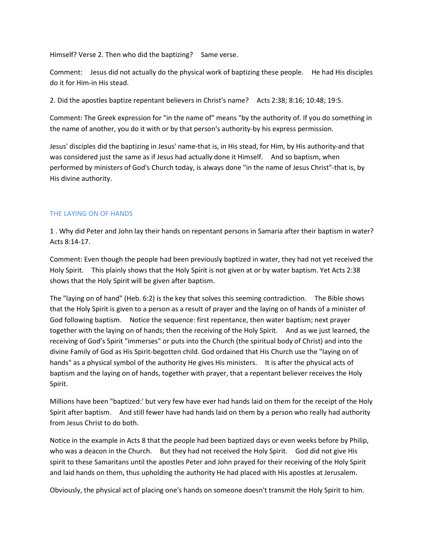Himself? Verse 2. Then who did the baptizing? Same verse.

Comment: Jesus did not actually do the physical work of baptizing these people. He had His disciples do it for Him-in His stead.

2. Did the apostles baptize repentant believers in Christ's name? Acts 2:38; 8:16; 10:48; 19:5.

Comment: The Greek expression for "in the name of" means "by the authority of. If you do something in the name of another, you do it with or by that person's authority-by his express permission.

Jesus' disciples did the baptizing in Jesus' name-that is, in His stead, for Him, by His authority-and that was considered just the same as if Jesus had actually done it Himself. And so baptism, when performed by ministers of God's Church today, is always done "in the name of Jesus Christ"-that is, by His divine authority.

#### THE LAYING ON OF HANDS

1 . Why did Peter and John lay their hands on repentant persons in Samaria after their baptism in water? Acts 8:14-17.

Comment: Even though the people had been previously baptized in water, they had not yet received the Holy Spirit. This plainly shows that the Holy Spirit is not given at or by water baptism. Yet Acts 2:38 shows that the Holy Spirit will be given after baptism.

The "laying on of hand" (Heb. 6:2) is the key that solves this seeming contradiction. The Bible shows that the Holy Spirit is given to a person as a result of prayer and the laying on of hands of a minister of God following baptism. Notice the sequence: first repentance, then water baptism; next prayer together with the laying on of hands; then the receiving of the Holy Spirit. And as we just learned, the receiving of God's Spirit "immerses" or puts into the Church (the spiritual body of Christ) and into the divine Family of God as His Spirit-begotten child. God ordained that His Church use the "laying on of hands" as a physical symbol of the authority He gives His ministers. It is after the physical acts of baptism and the laying on of hands, together with prayer, that a repentant believer receives the Holy Spirit.

Millions have been "baptized:' but very few have ever had hands laid on them for the receipt of the Holy Spirit after baptism. And still fewer have had hands laid on them by a person who really had authority from Jesus Christ to do both.

Notice in the example in Acts 8 that the people had been baptized days or even weeks before by Philip, who was a deacon in the Church. But they had not received the Holy Spirit. God did not give His spirit to these Samaritans until the apostles Peter and John prayed for their receiving of the Holy Spirit and laid hands on them, thus upholding the authority He had placed with His apostles at Jerusalem.

Obviously, the physical act of placing one's hands on someone doesn't transmit the Holy Spirit to him.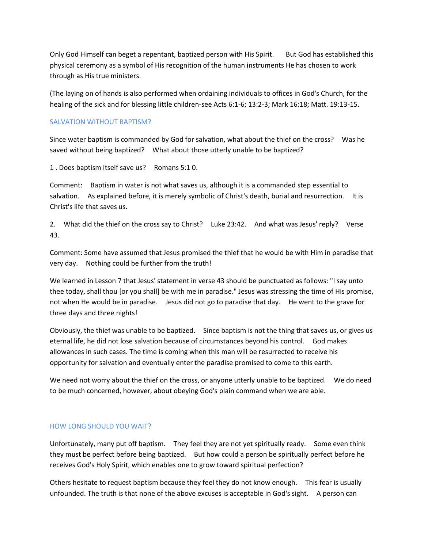Only God Himself can beget a repentant, baptized person with His Spirit. But God has established this physical ceremony as a symbol of His recognition of the human instruments He has chosen to work through as His true ministers.

(The laying on of hands is also performed when ordaining individuals to offices in God's Church, for the healing of the sick and for blessing little children-see Acts 6:1-6; 13:2-3; Mark 16:18; Matt. 19:13-15.

## SALVATION WITHOUT BAPTISM?

Since water baptism is commanded by God for salvation, what about the thief on the cross? Was he saved without being baptized? What about those utterly unable to be baptized?

1 . Does baptism itself save us? Romans 5:1 0.

Comment: Baptism in water is not what saves us, although it is a commanded step essential to salvation. As explained before, it is merely symbolic of Christ's death, burial and resurrection. It is Christ's life that saves us.

2. What did the thief on the cross say to Christ? Luke 23:42. And what was Jesus' reply? Verse 43.

Comment: Some have assumed that Jesus promised the thief that he would be with Him in paradise that very day. Nothing could be further from the truth!

We learned in Lesson 7 that Jesus' statement in verse 43 should be punctuated as follows: "I say unto thee today, shall thou [or you shall] be with me in paradise." Jesus was stressing the time of His promise, not when He would be in paradise. Jesus did not go to paradise that day. He went to the grave for three days and three nights!

Obviously, the thief was unable to be baptized. Since baptism is not the thing that saves us, or gives us eternal life, he did not lose salvation because of circumstances beyond his control. God makes allowances in such cases. The time is coming when this man will be resurrected to receive his opportunity for salvation and eventually enter the paradise promised to come to this earth.

We need not worry about the thief on the cross, or anyone utterly unable to be baptized. We do need to be much concerned, however, about obeying God's plain command when we are able.

#### HOW LONG SHOULD YOU WAIT?

Unfortunately, many put off baptism. They feel they are not yet spiritually ready. Some even think they must be perfect before being baptized. But how could a person be spiritually perfect before he receives God's Holy Spirit, which enables one to grow toward spiritual perfection?

Others hesitate to request baptism because they feel they do not know enough. This fear is usually unfounded. The truth is that none of the above excuses is acceptable in God's sight. A person can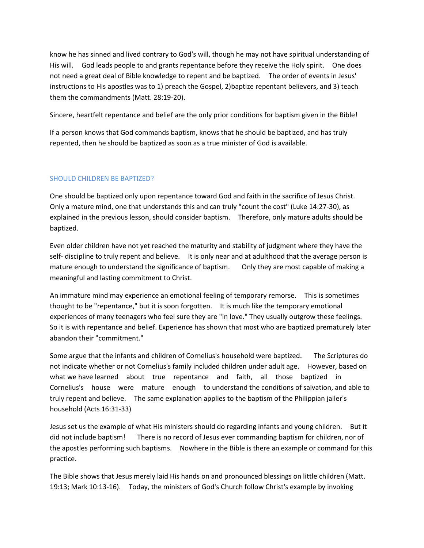know he has sinned and lived contrary to God's will, though he may not have spiritual understanding of His will. God leads people to and grants repentance before they receive the Holy spirit. One does not need a great deal of Bible knowledge to repent and be baptized. The order of events in Jesus' instructions to His apostles was to 1) preach the Gospel, 2)baptize repentant believers, and 3) teach them the commandments (Matt. 28:19-20).

Sincere, heartfelt repentance and belief are the only prior conditions for baptism given in the Bible!

If a person knows that God commands baptism, knows that he should be baptized, and has truly repented, then he should be baptized as soon as a true minister of God is available.

## SHOULD CHILDREN BE BAPTIZED?

One should be baptized only upon repentance toward God and faith in the sacrifice of Jesus Christ. Only a mature mind, one that understands this and can truly "count the cost" (Luke 14:27-30), as explained in the previous lesson, should consider baptism. Therefore, only mature adults should be baptized.

Even older children have not yet reached the maturity and stability of judgment where they have the self- discipline to truly repent and believe. It is only near and at adulthood that the average person is mature enough to understand the significance of baptism. Only they are most capable of making a meaningful and lasting commitment to Christ.

An immature mind may experience an emotional feeling of temporary remorse. This is sometimes thought to be "repentance," but it is soon forgotten. It is much like the temporary emotional experiences of many teenagers who feel sure they are "in love." They usually outgrow these feelings. So it is with repentance and belief. Experience has shown that most who are baptized prematurely later abandon their "commitment."

Some argue that the infants and children of Cornelius's household were baptized. The Scriptures do not indicate whether or not Cornelius's family included children under adult age. However, based on what we have learned about true repentance and faith, all those baptized in Cornelius's house were mature enough to understand the conditions of salvation, and able to truly repent and believe. The same explanation applies to the baptism of the Philippian jailer's household (Acts 16:31-33)

Jesus set us the example of what His ministers should do regarding infants and young children. But it did not include baptism! There is no record of Jesus ever commanding baptism for children, nor of the apostles performing such baptisms. Nowhere in the Bible is there an example or command for this practice.

The Bible shows that Jesus merely laid His hands on and pronounced blessings on little children (Matt. 19:13; Mark 10:13-16). Today, the ministers of God's Church follow Christ's example by invoking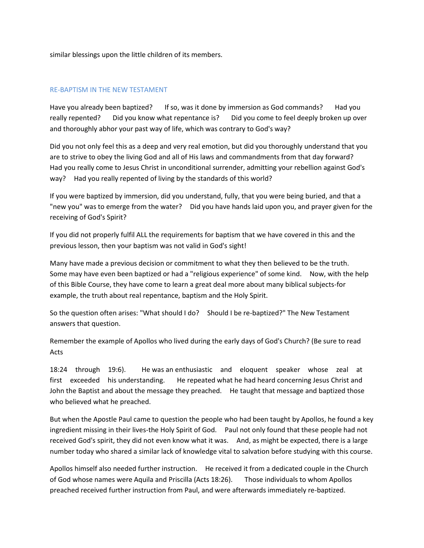similar blessings upon the little children of its members.

#### RE-BAPTISM IN THE NEW TESTAMENT

Have you already been baptized? If so, was it done by immersion as God commands? Had you really repented? Did you know what repentance is? Did you come to feel deeply broken up over and thoroughly abhor your past way of life, which was contrary to God's way?

Did you not only feel this as a deep and very real emotion, but did you thoroughly understand that you are to strive to obey the living God and all of His laws and commandments from that day forward? Had you really come to Jesus Christ in unconditional surrender, admitting your rebellion against God's way? Had you really repented of living by the standards of this world?

If you were baptized by immersion, did you understand, fully, that you were being buried, and that a "new you" was to emerge from the water? Did you have hands laid upon you, and prayer given for the receiving of God's Spirit?

If you did not properly fulfil ALL the requirements for baptism that we have covered in this and the previous lesson, then your baptism was not valid in God's sight!

Many have made a previous decision or commitment to what they then believed to be the truth. Some may have even been baptized or had a "religious experience" of some kind. Now, with the help of this Bible Course, they have come to learn a great deal more about many biblical subjects-for example, the truth about real repentance, baptism and the Holy Spirit.

So the question often arises: "What should I do? Should I be re-baptized?" The New Testament answers that question.

Remember the example of Apollos who lived during the early days of God's Church? (Be sure to read Acts

18:24 through 19:6). He was an enthusiastic and eloquent speaker whose zeal at first exceeded his understanding. He repeated what he had heard concerning Jesus Christ and John the Baptist and about the message they preached. He taught that message and baptized those who believed what he preached.

But when the Apostle Paul came to question the people who had been taught by Apollos, he found a key ingredient missing in their lives-the Holy Spirit of God. Paul not only found that these people had not received God's spirit, they did not even know what it was. And, as might be expected, there is a large number today who shared a similar lack of knowledge vital to salvation before studying with this course.

Apollos himself also needed further instruction. He received it from a dedicated couple in the Church of God whose names were Aquila and Priscilla (Acts 18:26). Those individuals to whom Apollos preached received further instruction from Paul, and were afterwards immediately re-baptized.